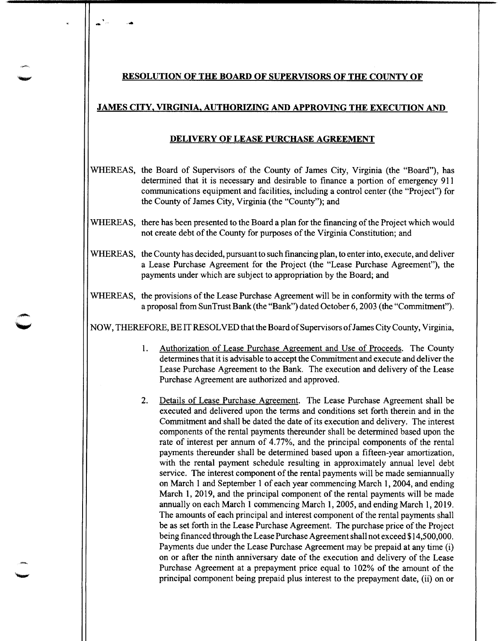## **RESOLUTION OF THE BOARD OF SUPERVISORS OF THE COUNTY OF**

## **JAMES CITY, VIRGINIA, AUTHORIZING AND APPROVING THE EXECUTION AND**

## **DELIVERY OF LEASE PURCHASE AGREEMENT**

- WHEREAS, the Board of Supervisors of the County of James City, Virginia (the "Board"), has determined that it is necessary and desirable to finance a portion of emergency 911 communications equipment and facilities, including a control center (the "Project") for the County of James City, Virginia (the "County"); and
- WHEREAS, there has been presented to the Board a plan for the financing of the Project which would not create debt of the County for purposes of the Virginia Constitution; and
- WHEREAS, the County has decided, pursuant to such financing plan, to enter into, execute, and deliver a Lease Purchase Agreement for the Project (the "Lease Purchase Agreement"), the payments under which are subject to appropriation by the Board; and
- WHEREAS, the provisions of the Lease Purchase Agreement will be in conformity with the terms of a proposal from Sun Trust Bank (the "Bank") dated October 6, 2003 (the "Commitment").

NOW, THEREFORE, BE IT RESOLVED that the Board of Supervisors of James City County, Virginia,

- 1. Authorization of Lease Purchase Agreement and Use of Proceeds. The County determines that it is advisable to accept the Commitment and execute and deliver the Lease Purchase Agreement to the Bank. The execution and delivery of the Lease Purchase Agreement are authorized and approved.
- 2. Details of Lease Purchase Agreement. The Lease Purchase Agreement shall be executed and delivered upon the terms and conditions set forth therein and in the Commitment and shall be dated the date of its execution and delivery. The interest components of the rental payments thereunder shall be determined based upon the rate of interest per annum of 4.77%, and the principal components of the rental payments thereunder shall be determined based upon a fifteen-year amortization, with the rental payment schedule resulting in approximately annual level debt service. The interest component of the rental payments will be made semiannually on March 1 and September 1 of each year commencing March 1, 2004, and ending March 1, 2019, and the principal component of the rental payments will be made annually on each March 1 commencing March 1, 2005, and ending March 1, 2019. The amounts of each principal and interest component of the rental payments shall be as set forth in the Lease Purchase Agreement. The purchase price of the Project being financed through the Lease Purchase Agreement shall not exceed \$14,500,000. Payments due under the Lease Purchase Agreement may be prepaid at any time (i) on or after the ninth anniversary date of the execution and delivery of the Lease Purchase Agreement at a prepayment price equal to 102% of the amount of the principal component being prepaid plus interest to the prepayment date, (ii) on or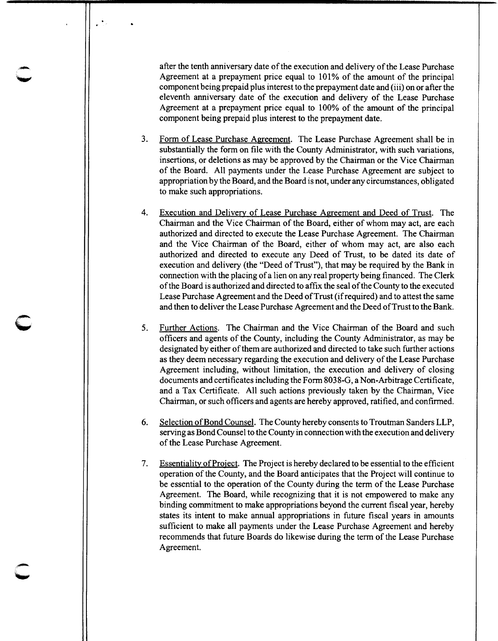after the tenth anniversary date of the execution and delivery of the Lease Purchase Agreement at a prepayment price equal to 101% of the amount of the principal component being prepaid plus interest to the prepayment date and (iii) on or after the eleventh anniversary date of the execution and delivery of the Lease Purchase Agreement at a prepayment price equal to 100% of the amount of the principal component being prepaid plus interest to the prepayment date.

- 3. Form of Lease Purchase Agreement. The Lease Purchase Agreement shall be in substantially the form on file with the County Administrator, with such variations, insertions, or deletions as may be approved by the Chairman or the Vice Chairman of the Board. All payments under the Lease Purchase Agreement are subject to appropriation by the Board, and the Board is not, under any circumstances, obligated to make such appropriations.
- 4. Execution and Delivery of Lease Purchase Agreement and Deed of Trust. The Chairman and the Vice Chairman of the Board, either of whom may act, are each authorized and directed to execute the Lease Purchase Agreement. The Chairman and the Vice Chairman of the Board, either of whom may act, are also each authorized and directed to execute any Deed of Trust, to be dated its date of execution and delivery (the "Deed of Trust"), that may be required by the Bank in connection with the placing of a lien on any real property being financed. The Clerk of the Board is authorized and directed to affix the seal of the County to the executed Lease Purchase Agreement and the Deed of Trust (if required) and to attest the same and then to deliver the Lease Purchase Agreement and the Deed of Trust to the Bank.
- 5. Further Actions. The Chairman and the Vice Chairman of the Board and such officers and agents of the County, including the County Administrator, as may be designated by either of them are authorized and directed to take such further actions as they deem necessary regarding the execution and delivery of the Lease Purchase Agreement including, without limitation, the execution and delivery of closing documents and certificates including the Form 8038-G, a Non-Arbitrage Certificate, and a Tax Certificate. All such actions previously taken by the Chairman, Vice Chairman, or such officers and agents are hereby approved, ratified, and confirmed.

c

- 6. Selection of Bond Counsel. The County hereby consents to Troutman Sanders LLP, serving as Bond Counsel to the County in connection with the execution and delivery of the Lease Purchase Agreement.
- 7. Essentiality of Project. The Project is hereby declared to be essential to the efficient operation of the County, and the Board anticipates that the Project will continue to be essential to the operation of the County during the term of the Lease Purchase Agreement. The Board, while recognizing that it is not empowered to make any binding commitment to make appropriations beyond the current fiscal year, hereby states its intent to make annual appropriations in future fiscal years in amounts sufficient to make all payments under the Lease Purchase Agreement and hereby recommends that future Boards do likewise during the term of the Lease Purchase Agreement.